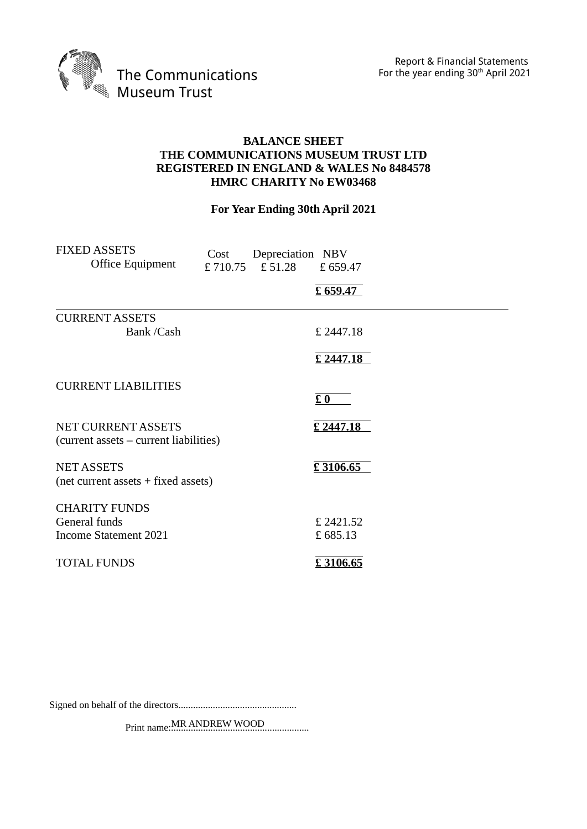Report & Financial Statements For the year ending 30<sup>th</sup> April 2021



## **BALANCE SHEET THE COMMUNICATIONS MUSEUM TRUST LTD REGISTERED IN ENGLAND & WALES No 8484578 HMRC CHARITY No EW03468**

# **For Year Ending 30th April 2021**

| <b>FIXED ASSETS</b><br>Office Equipment                             | Cost | Depreciation NBV<br>£710.75 £51.28 | £659.47<br>£ 659.47 |  |
|---------------------------------------------------------------------|------|------------------------------------|---------------------|--|
| <b>CURRENT ASSETS</b>                                               |      |                                    |                     |  |
| Bank /Cash                                                          |      |                                    | £ 2447.18           |  |
|                                                                     |      |                                    | £ 2447.18           |  |
| <b>CURRENT LIABILITIES</b>                                          |      |                                    |                     |  |
|                                                                     |      |                                    | $E_0$               |  |
| <b>NET CURRENT ASSETS</b><br>(current assets – current liabilities) |      |                                    | £ 2447.18           |  |
| <b>NET ASSETS</b><br>$(net current assets + fixed assets)$          |      |                                    | £3106.65            |  |
| <b>CHARITY FUNDS</b><br>General funds                               |      |                                    | £ 2421.52           |  |
| <b>Income Statement 2021</b>                                        |      |                                    | £685.13             |  |
| <b>TOTAL FUNDS</b>                                                  |      |                                    | £3106.65            |  |

Signed on behalf of the directors................................................

Print name:........................................................ MR ANDREW WOOD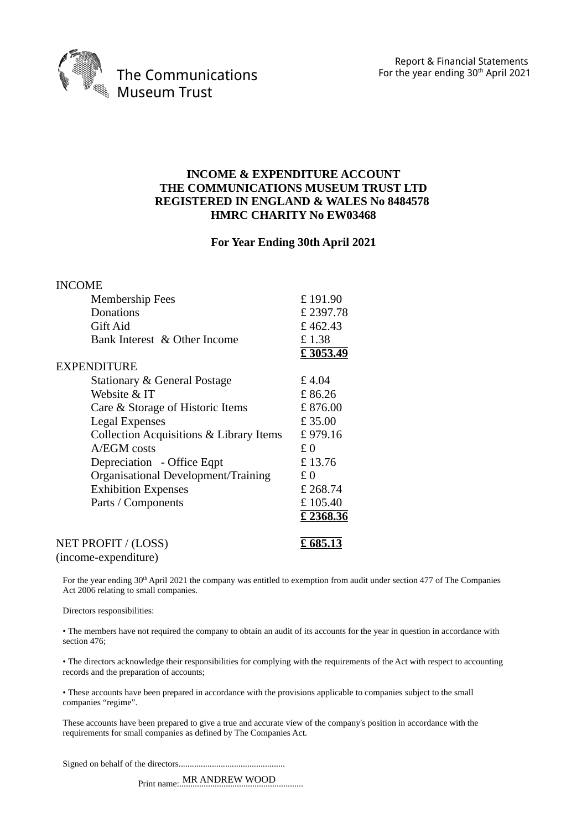

#### **INCOME & EXPENDITURE ACCOUNT THE COMMUNICATIONS MUSEUM TRUST LTD REGISTERED IN ENGLAND & WALES No 8484578 HMRC CHARITY No EW03468**

#### **For Year Ending 30th April 2021**

| <b>INCOME</b>                           |           |
|-----------------------------------------|-----------|
| <b>Membership Fees</b>                  | £191.90   |
| Donations                               | £ 2397.78 |
| Gift Aid                                | £462.43   |
| Bank Interest & Other Income            | £1.38     |
|                                         | £3053.49  |
| <b>EXPENDITURE</b>                      |           |
| Stationary & General Postage            | £4.04     |
| Website & IT                            | £86.26    |
| Care & Storage of Historic Items        | £876.00   |
| <b>Legal Expenses</b>                   | £35.00    |
| Collection Acquisitions & Library Items | £979.16   |
| A/EGM costs                             | £0        |
| Depreciation - Office Eqpt              | £13.76    |
| Organisational Development/Training     | £0        |
| <b>Exhibition Expenses</b>              | £ 268.74  |
| Parts / Components                      | £105.40   |
|                                         | £2368.36  |
| NET PROFIT / (LOSS)                     | £685.13   |
| (income-expenditure)                    |           |

For the year ending 30<sup>th</sup> April 2021 the company was entitled to exemption from audit under section 477 of The Companies Act 2006 relating to small companies.

Directors responsibilities:

• The members have not required the company to obtain an audit of its accounts for the year in question in accordance with section 476;

• The directors acknowledge their responsibilities for complying with the requirements of the Act with respect to accounting records and the preparation of accounts;

• These accounts have been prepared in accordance with the provisions applicable to companies subject to the small companies "regime".

These accounts have been prepared to give a true and accurate view of the company's position in accordance with the requirements for small companies as defined by The Companies Act.

Signed on behalf of the directors................................................

Print name:........................................................ MR ANDREW WOOD